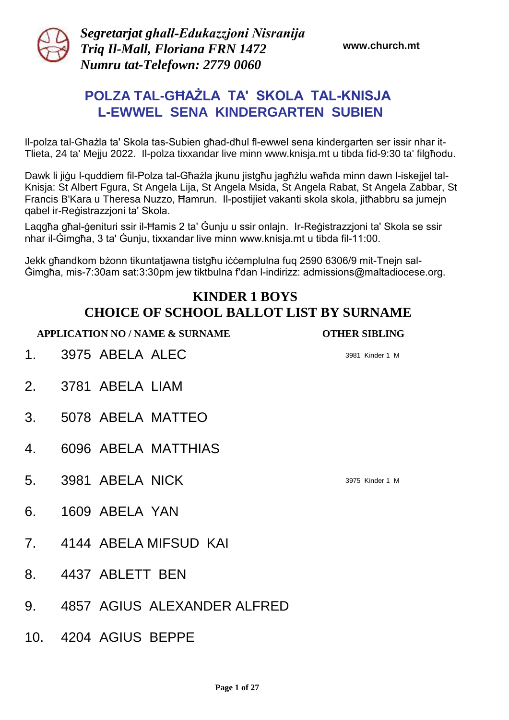

*Segretarjat għall-Edukazzjoni Nisranija Triq Il-Mall, Floriana FRN 1472 Numru tat-Telefown: 2779 0060* 

**www.church.mt**

# **POLZA TAL-GĦAŻLA TA' SKOLA TAL-KNISJA L-EWWEL SENA KINDERGARTEN SUBIEN**

Il-polza tal-Għażla ta' Skola tas-Subien għad-dħul fl-ewwel sena kindergarten ser issir nhar it-Tlieta, 24 ta' Mejju 2022. Il-polza tixxandar live minn www.knisja.mt u tibda fid-9:30 ta' filgħodu.

Dawk li jiġu l-quddiem fil-Polza tal-Għażla jkunu jistgħu jagħżlu waħda minn dawn l-iskejjel tal-Knisja: St Albert Fgura, St Angela Lija, St Angela Msida, St Angela Rabat, St Angela Zabbar, St Francis B'Kara u Theresa Nuzzo, Ħamrun. Il-postijiet vakanti skola skola, jitħabbru sa jumejn qabel ir-Reġistrazzjoni ta' Skola.

Laqgħa għal-ġenituri ssir il-Ħamis 2 ta' Ġunju u ssir onlajn. Ir-Reġistrazzjoni ta' Skola se ssir nhar il-Ġimgħa, 3 ta' Ġunju, tixxandar live minn www.knisja.mt u tibda fil-11:00.

Jekk għandkom bżonn tikuntatjawna tistgħu iċċemplulna fuq 2590 6306/9 mit-Tnejn sal-Ġimgħa, mis-7:30am sat:3:30pm jew tiktbulna f'dan l-indirizz: admissions@maltadiocese.org.

#### **KINDER 1 BOYS CHOICE OF SCHOOL BALLOT LIST BY SURNAME**

- 1. 3975 ABELA ALEC 3981 Kinder 1 M
- 2. 3781 ABELA LIAM
- 3. 5078 ABELA MATTEO
- 4. 6096 ABELA MATTHIAS
- **5. 3981 ABELA NICK** 3975 Kinder 1 M
- 6. 1609 ABELA YAN
- 7. 4144 ABELA MIFSUD KAI
- 8. 4437 ABLETT BEN
- 9. 4857 AGIUS ALEXANDER ALFRED
- 10. 4204 AGIUS BEPPE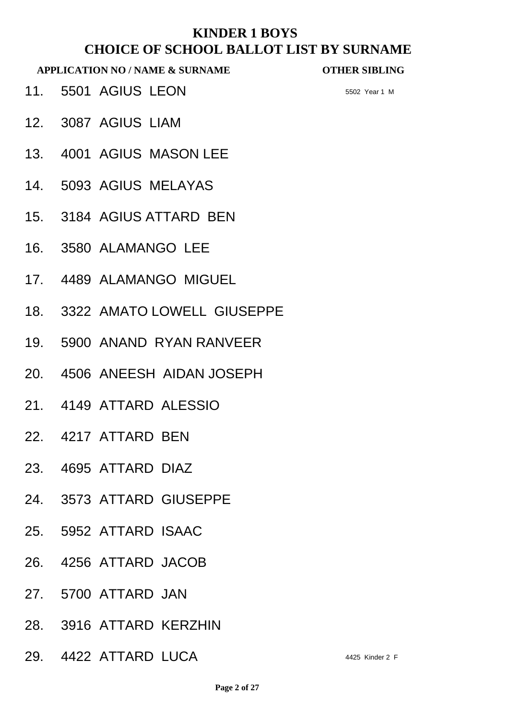**APPLICATION NO / NAME & SURNAME OTHER SIBLING**

**11.** 5501 AGIUS LEON 5502 Year 1 M

- 12. 3087 AGIUS LIAM
- 13. 4001 AGIUS MASON LEE
- 14. 5093 AGIUS MELAYAS
- 15. 3184 AGIUS ATTARD BEN
- 16. 3580 ALAMANGO LEE
- 17. 4489 ALAMANGO MIGUEL
- 18. 3322 AMATO LOWELL GIUSEPPE
- 19. 5900 ANAND RYAN RANVEER
- 20. 4506 ANEESH AIDAN JOSEPH
- 21. 4149 ATTARD ALESSIO
- 22. 4217 ATTARD BEN
- 23. 4695 ATTARD DIAZ
- 24. 3573 ATTARD GIUSEPPE
- 25. 5952 ATTARD ISAAC
- 26. 4256 ATTARD JACOB
- 27. 5700 ATTARD JAN
- 28. 3916 ATTARD KERZHIN
- 29. 4422 ATTARD LUCA 4425 Kinder 2 F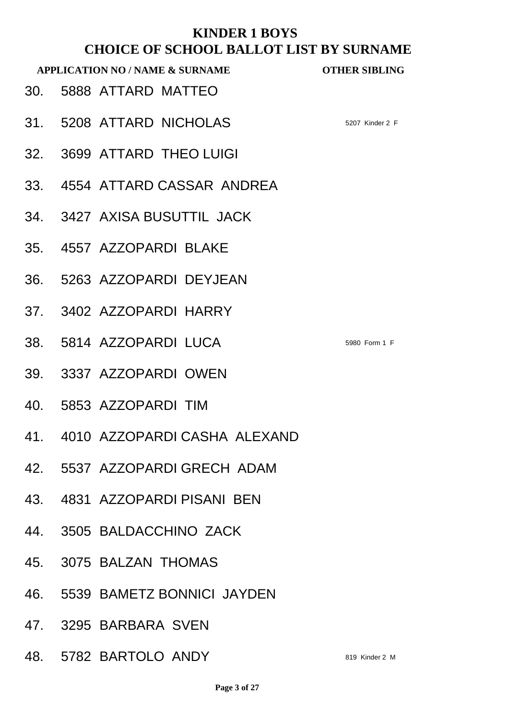- 30. 5888 ATTARD MATTEO
- 31. 5208 ATTARD NICHOLAS 5207 Kinder 2 F
- 32. 3699 ATTARD THEO LUIGI
- 33. 4554 ATTARD CASSAR ANDREA
- 34. 3427 AXISA BUSUTTIL JACK
- 35. 4557 AZZOPARDI BLAKE
- 36. 5263 AZZOPARDI DEYJEAN
- 37. 3402 AZZOPARDI HARRY
- 38. 5814 AZZOPARDI LUCA 5980 Form 1 F
- 39. 3337 AZZOPARDI OWEN
- 40. 5853 AZZOPARDI TIM
- 41. 4010 AZZOPARDI CASHA ALEXAND
- 42. 5537 AZZOPARDI GRECH ADAM
- 43. 4831 AZZOPARDI PISANI BEN
- 44. 3505 BALDACCHINO ZACK
- 45. 3075 BALZAN THOMAS
- 46. 5539 BAMETZ BONNICI JAYDEN
- 47. 3295 BARBARA SVEN
- 48. 5782 BARTOLO ANDY 819 Kinder 2 M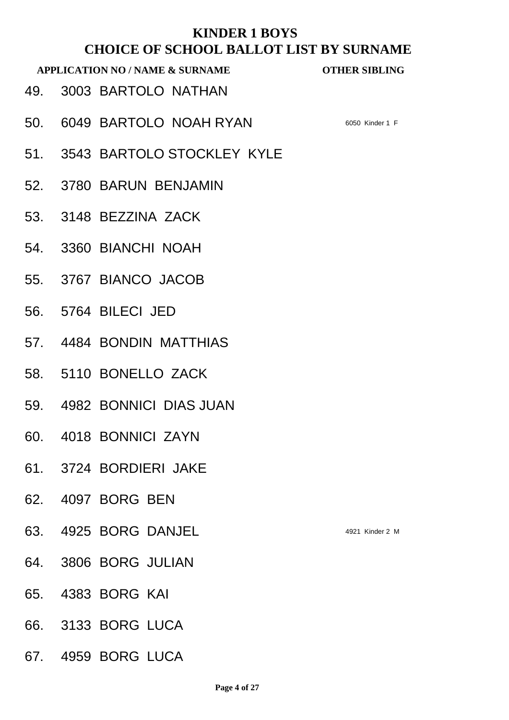- 49. 3003 BARTOLO NATHAN
- 50. 6049 BARTOLO NOAH RYAN 6050 Kinder 1 F
- 51. 3543 BARTOLO STOCKLEY KYLE
- 52. 3780 BARUN BENJAMIN
- 53. 3148 BEZZINA ZACK
- 54. 3360 BIANCHI NOAH
- 55. 3767 BIANCO JACOB
- 56. 5764 BILECI JED
- 57. 4484 BONDIN MATTHIAS
- 58. 5110 BONELLO ZACK
- 59. 4982 BONNICI DIAS JUAN
- 60. 4018 BONNICI ZAYN
- 61. 3724 BORDIERI JAKE
- 62. 4097 BORG BEN
- 63. 4925 BORG DANJEL 4921 Kinder 2 M
- 64. 3806 BORG JULIAN
- 65. 4383 BORG KAI
- 66. 3133 BORG LUCA
- 67. 4959 BORG LUCA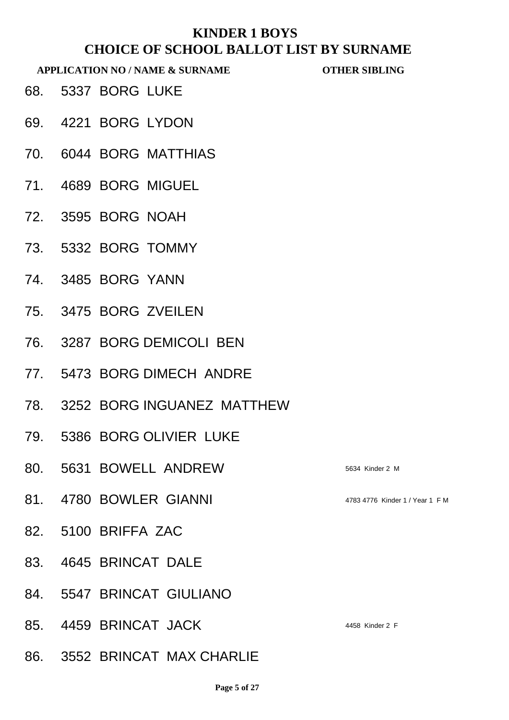- 68. 5337 BORG LUKE
- 69. 4221 BORG LYDON
- 70. 6044 BORG MATTHIAS
- 71. 4689 BORG MIGUEL
- 72. 3595 BORG NOAH
- 73. 5332 BORG TOMMY
- 74. 3485 BORG YANN
- 75. 3475 BORG ZVEILEN
- 76. 3287 BORG DEMICOLI BEN
- 77. 5473 BORG DIMECH ANDRE
- 78. 3252 BORG INGUANEZ MATTHEW
- 79. 5386 BORG OLIVIER LUKE
- 80. 5631 BOWELL ANDREW 5634 Kinder 2 M
- 81. 4780 BOWLER GIANNI 4783 4776 Kinder 1 / Year 1 FM
- 82. 5100 BRIFFA ZAC
- 83. 4645 BRINCAT DALE
- 84. 5547 BRINCAT GIULIANO
- 85. 4459 BRINCAT JACK 4458 Kinder 2 F
- 86. 3552 BRINCAT MAX CHARLIE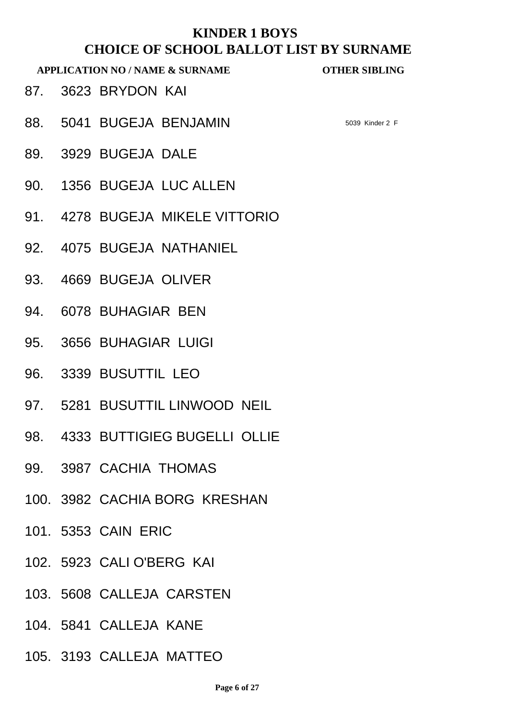- 87. 3623 BRYDON KAI
- 88. 5041 BUGEJA BENJAMIN 5039 Kinder 2 F

- 89. 3929 BUGEJA DALE
- 90. 1356 BUGEJA LUC ALLEN
- 91. 4278 BUGEJA MIKELE VITTORIO
- 92. 4075 BUGEJA NATHANIEL
- 93. 4669 BUGEJA OLIVER
- 94. 6078 BUHAGIAR BEN
- 95. 3656 BUHAGIAR LUIGI
- 96. 3339 BUSUTTIL LEO
- 97. 5281 BUSUTTIL LINWOOD NEIL
- 98. 4333 BUTTIGIEG BUGELLI OLLIE
- 99. 3987 CACHIA THOMAS
- 100. 3982 CACHIA BORG KRESHAN
- 101. 5353 CAIN ERIC
- 102. 5923 CALI O'BERG KAI
- 103. 5608 CALLEJA CARSTEN
- 104. 5841 CALLEJA KANE
- 105. 3193 CALLEJA MATTEO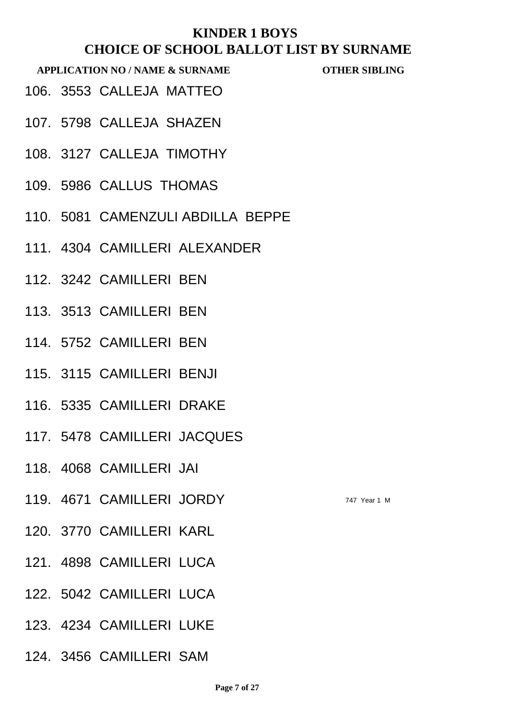- 106. 3553 CALLEJA MATTEO
- 107. 5798 CALLEJA SHAZEN
- 108. 3127 CALLEJA TIMOTHY
- 109. 5986 CALLUS THOMAS
- 110. 5081 CAMENZULI ABDILLA BEPPE
- 111. 4304 CAMILLERI ALEXANDER
- 112. 3242 CAMILLERI BEN
- 113. 3513 CAMILLERI BEN
- 114. 5752 CAMILLERI BEN
- 115. 3115 CAMILLERI BENJI
- 116. 5335 CAMILLERI DRAKE
- 117. 5478 CAMILLERI JACQUES
- 118. 4068 CAMILLERI JAI
- 119. 4671 CAMILLERI JORDY 747 Year 1 M
- 120. 3770 CAMILLERI KARL
- 121. 4898 CAMILLERI LUCA
- 122. 5042 CAMILLERI LUCA
- 123. 4234 CAMILLERI LUKE
- 124. 3456 CAMILLERI SAM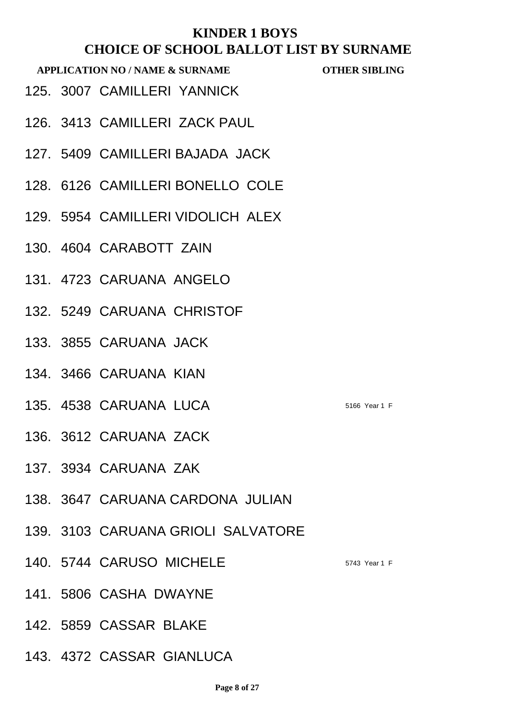- 125. 3007 CAMILLERI YANNICK
- 126. 3413 CAMILLERI ZACK PAUL
- 127. 5409 CAMILLERI BAJADA JACK
- 128. 6126 CAMILLERI BONELLO COLE
- 129. 5954 CAMILLERI VIDOLICH ALEX
- 130. 4604 CARABOTT ZAIN
- 131. 4723 CARUANA ANGELO
- 132. 5249 CARUANA CHRISTOF
- 133. 3855 CARUANA JACK
- 134. 3466 CARUANA KIAN
- 135. 4538 CARUANA LUCA 5166 Year 1 F
- 136. 3612 CARUANA ZACK
- 137. 3934 CARUANA ZAK
- 138. 3647 CARUANA CARDONA JULIAN
- 139. 3103 CARUANA GRIOLI SALVATORE
- 140. 5744 CARUSO MICHELE 5743 Year 1 F
- 141. 5806 CASHA DWAYNE
- 142. 5859 CASSAR BLAKE
- 143. 4372 CASSAR GIANLUCA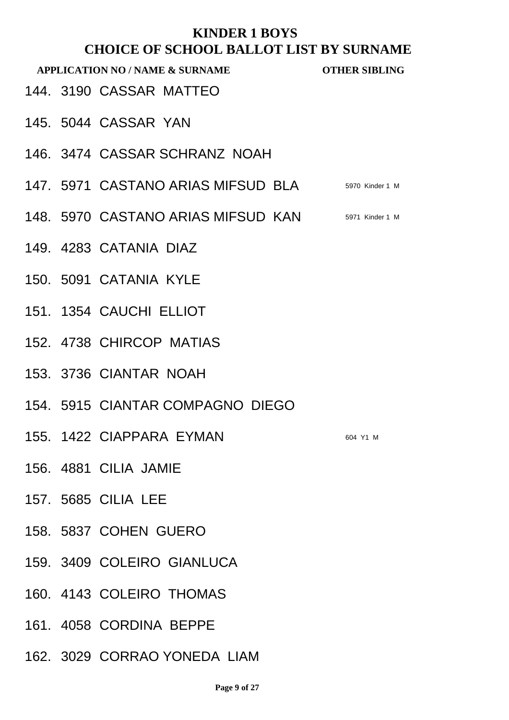| <b>APPLICATION NO / NAME &amp; SURNAME</b> |  |                                                    | <b>OTHER SIBLING</b> |
|--------------------------------------------|--|----------------------------------------------------|----------------------|
|                                            |  | 144. 3190 CASSAR MATTEO                            |                      |
|                                            |  | 145. 5044 CASSAR YAN                               |                      |
|                                            |  | 146. 3474 CASSAR SCHRANZ NOAH                      |                      |
|                                            |  | 147. 5971 CASTANO ARIAS MIFSUD BLA 5970 Kinder 1 M |                      |
|                                            |  | 148. 5970 CASTANO ARIAS MIFSUD KAN 5971 Kinder 1 M |                      |
|                                            |  | 149. 4283 CATANIA DIAZ                             |                      |
|                                            |  | 150. 5091 CATANIA KYLE                             |                      |
|                                            |  | 151. 1354 CAUCHI ELLIOT                            |                      |
|                                            |  | 152. 4738 CHIRCOP MATIAS                           |                      |
|                                            |  | 153. 3736 CIANTAR NOAH                             |                      |
|                                            |  | 154. 5915 CIANTAR COMPAGNO DIEGO                   |                      |
|                                            |  | 155. 1422 CIAPPARA EYMAN                           | 604 Y1 M             |
|                                            |  | 156. 4881 CILIA JAMIE                              |                      |
|                                            |  | 157. 5685 CILIA LEE                                |                      |
|                                            |  | 158. 5837 COHEN GUERO                              |                      |
|                                            |  | 159. 3409 COLEIRO GIANLUCA                         |                      |
|                                            |  | 160. 4143 COLEIRO THOMAS                           |                      |
|                                            |  | 161. 4058 CORDINA BEPPE                            |                      |
|                                            |  | 162. 3029 CORRAO YONEDA LIAM                       |                      |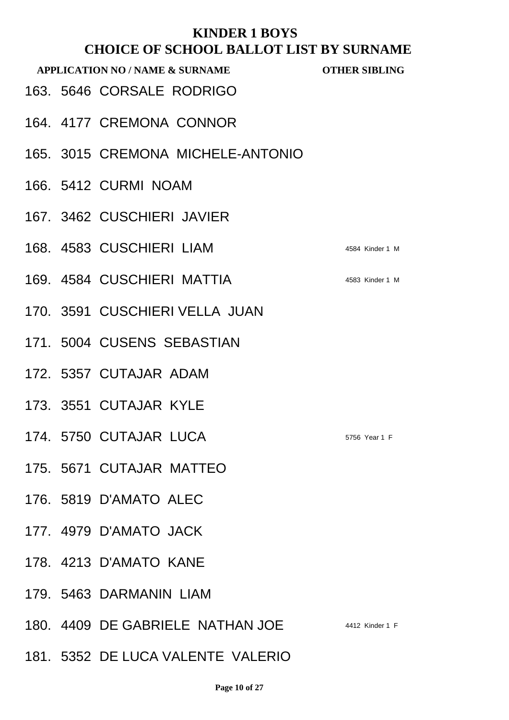| <b>APPLICATION NO / NAME &amp; SURNAME</b> |  |                                   | <b>OTHER SIBLING</b> |
|--------------------------------------------|--|-----------------------------------|----------------------|
|                                            |  | 163. 5646 CORSALE RODRIGO         |                      |
|                                            |  | 164, 4177 CREMONA CONNOR          |                      |
|                                            |  | 165. 3015 CREMONA MICHELE-ANTONIO |                      |
|                                            |  | 166. 5412 CURMI NOAM              |                      |
|                                            |  | 167. 3462 CUSCHIERI JAVIER        |                      |
|                                            |  | 168. 4583 CUSCHIERI LIAM          | 4584 Kinder 1 M      |
|                                            |  | 169. 4584 CUSCHIERI MATTIA        | 4583 Kinder 1 M      |
|                                            |  | 170. 3591 CUSCHIERI VELLA JUAN    |                      |
|                                            |  | 171, 5004 CUSENS SEBASTIAN        |                      |
|                                            |  | 172. 5357 CUTAJAR ADAM            |                      |
|                                            |  | 173. 3551 CUTAJAR KYLE            |                      |
|                                            |  | 174. 5750 CUTAJAR LUCA            | 5756 Year 1 F        |
|                                            |  | 175. 5671 CUTAJAR MATTEO          |                      |
|                                            |  | 176. 5819 D'AMATO ALEC            |                      |
|                                            |  | 177. 4979 D'AMATO JACK            |                      |
|                                            |  | 178. 4213 D'AMATO KANE            |                      |
|                                            |  | 179. 5463 DARMANIN LIAM           |                      |
|                                            |  | 180. 4409 DE GABRIELE NATHAN JOE  | 4412 Kinder 1 F      |
|                                            |  | 181. 5352 DE LUCA VALENTE VALERIO |                      |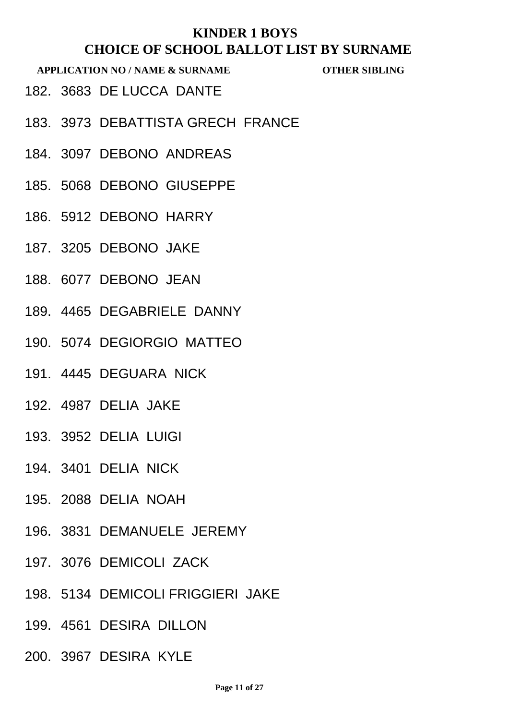- 182. 3683 DE LUCCA DANTE
- 183. 3973 DEBATTISTA GRECH FRANCE
- 184. 3097 DEBONO ANDREAS
- 185. 5068 DEBONO GIUSEPPE
- 186. 5912 DEBONO HARRY
- 187. 3205 DEBONO JAKE
- 188. 6077 DEBONO JEAN
- 189. 4465 DEGABRIELE DANNY
- 190. 5074 DEGIORGIO MATTEO
- 191. 4445 DEGUARA NICK
- 192. 4987 DELIA JAKE
- 193. 3952 DELIA LUIGI
- 194. 3401 DELIA NICK
- 195. 2088 DELIA NOAH
- 196. 3831 DEMANUELE JEREMY
- 197. 3076 DEMICOLI ZACK
- 198. 5134 DEMICOLI FRIGGIERI JAKE
- 199. 4561 DESIRA DILLON
- 200. 3967 DESIRA KYLE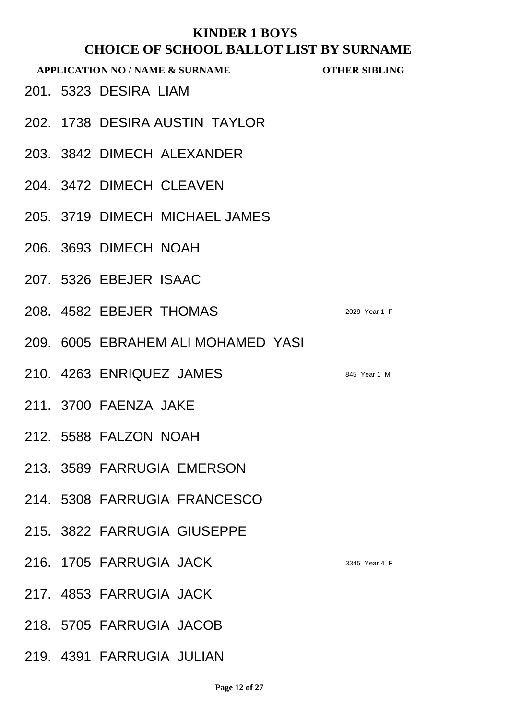|  | споод владот дрт вт е<br><b>APPLICATION NO / NAME &amp; SURNAME</b> | <b>OTHER SIBLING</b> |
|--|---------------------------------------------------------------------|----------------------|
|  | 201. 5323 DESIRA LIAM                                               |                      |
|  | 202. 1738 DESIRA AUSTIN TAYLOR                                      |                      |
|  | 203. 3842 DIMECH ALEXANDER                                          |                      |
|  | 204. 3472 DIMECH CLEAVEN                                            |                      |
|  | 205. 3719 DIMECH MICHAEL JAMES                                      |                      |
|  | 206. 3693 DIMECH NOAH                                               |                      |
|  | 207, 5326 EBEJER ISAAC                                              |                      |
|  | 208. 4582 EBEJER THOMAS                                             | 2029 Year 1 F        |
|  | 209. 6005 EBRAHEM ALI MOHAMED YASI                                  |                      |
|  | 210. 4263 ENRIQUEZ JAMES                                            | 845 Year 1 M         |
|  | 211, 3700 FAENZA JAKE                                               |                      |
|  | 212. 5588 FALZON NOAH                                               |                      |
|  | 213. 3589 FARRUGIA EMERSON                                          |                      |
|  | 214. 5308 FARRUGIA FRANCESCO                                        |                      |
|  | 215. 3822 FARRUGIA GIUSEPPE                                         |                      |
|  | 216. 1705 FARRUGIA JACK                                             | 3345 Year 4 F        |
|  | 217. 4853 FARRUGIA JACK                                             |                      |
|  | 218. 5705 FARRUGIA JACOB                                            |                      |
|  | 219. 4391 FARRUGIA JULIAN                                           |                      |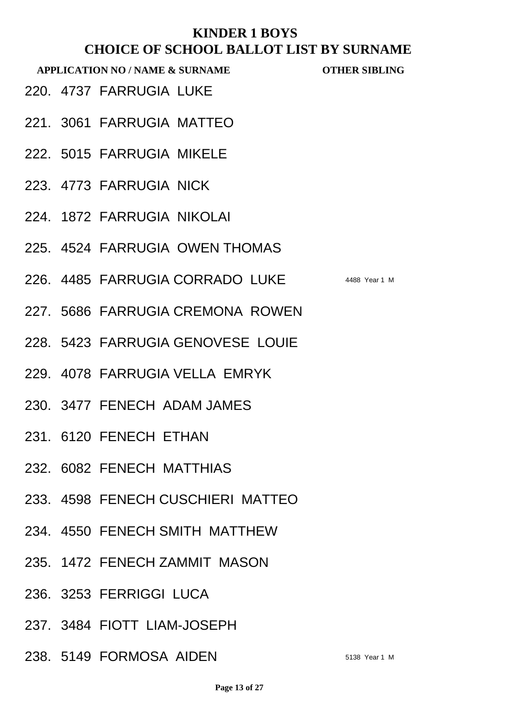**APPLICATION NO / NAME & SURNAME OTHER SIBLING**

220. 4737 FARRUGIA LUKE

- 221. 3061 FARRUGIA MATTEO
- 222. 5015 FARRUGIA MIKELE
- 223. 4773 FARRUGIA NICK
- 224. 1872 FARRUGIA NIKOLAI
- 225. 4524 FARRUGIA OWEN THOMAS
- 226. 4485 FARRUGIA CORRADO LUKE 4488 Year 1 M
- 227. 5686 FARRUGIA CREMONA ROWEN
- 228. 5423 FARRUGIA GENOVESE LOUIE
- 229. 4078 FARRUGIA VELLA EMRYK
- 230. 3477 FENECH ADAM JAMES
- 231. 6120 FENECH ETHAN
- 232. 6082 FENECH MATTHIAS
- 233. 4598 FENECH CUSCHIERI MATTEO
- 234. 4550 FENECH SMITH MATTHEW
- 235. 1472 FENECH ZAMMIT MASON
- 236. 3253 FERRIGGI LUCA
- 237. 3484 FIOTT LIAM-JOSEPH
- 238. 5149 FORMOSA AIDEN 5138 Year 1 M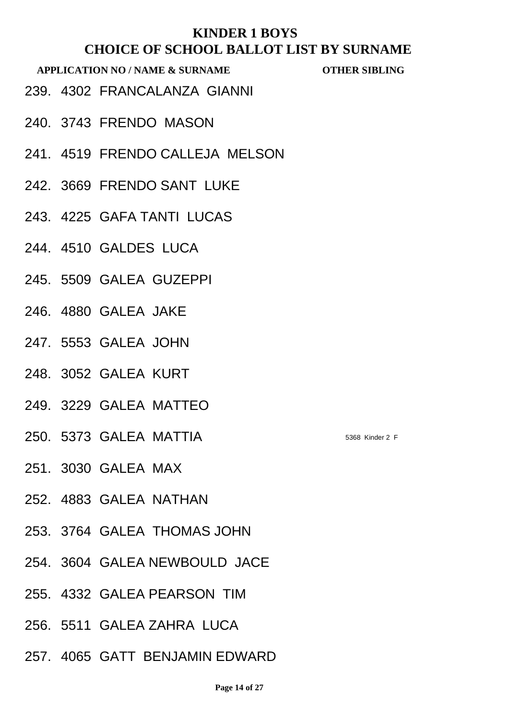- 239. 4302 FRANCALANZA GIANNI
- 240. 3743 FRENDO MASON
- 241. 4519 FRENDO CALLEJA MELSON
- 242. 3669 FRENDO SANT LUKE
- 243. 4225 GAFA TANTI LUCAS
- 244. 4510 GALDES LUCA
- 245. 5509 GALEA GUZEPPI
- 246. 4880 GALEA JAKE
- 247. 5553 GALEA JOHN
- 248. 3052 GALEA KURT
- 249. 3229 GALEA MATTEO
- 250. 5373 GALEA MATTIA 5368 Kinder 2 F
- 251. 3030 GALEA MAX
- 252. 4883 GALEA NATHAN
- 253. 3764 GALEA THOMAS JOHN
- 254. 3604 GALEA NEWBOULD JACE
- 255. 4332 GALEA PEARSON TIM
- 256. 5511 GALEA ZAHRA LUCA
- 257. 4065 GATT BENJAMIN EDWARD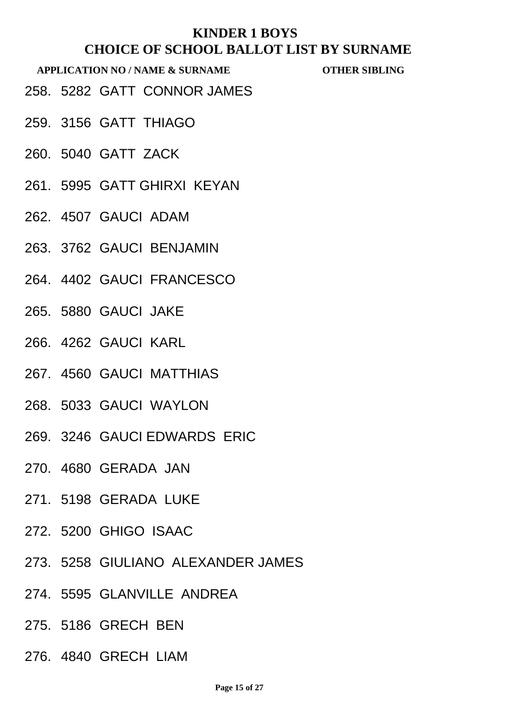- 258. 5282 GATT CONNOR JAMES
- 259. 3156 GATT THIAGO
- 260. 5040 GATT ZACK
- 261. 5995 GATT GHIRXI KEYAN
- 262. 4507 GAUCI ADAM
- 263. 3762 GAUCI BENJAMIN
- 264. 4402 GAUCI FRANCESCO
- 265. 5880 GAUCI JAKE
- 266. 4262 GAUCI KARL
- 267. 4560 GAUCI MATTHIAS
- 268. 5033 GAUCI WAYLON
- 269. 3246 GAUCI EDWARDS ERIC
- 270. 4680 GERADA JAN
- 271. 5198 GERADA LUKE
- 272. 5200 GHIGO ISAAC
- 273. 5258 GIULIANO ALEXANDER JAMES
- 274. 5595 GLANVILLE ANDREA
- 275. 5186 GRECH BEN
- 276. 4840 GRECH LIAM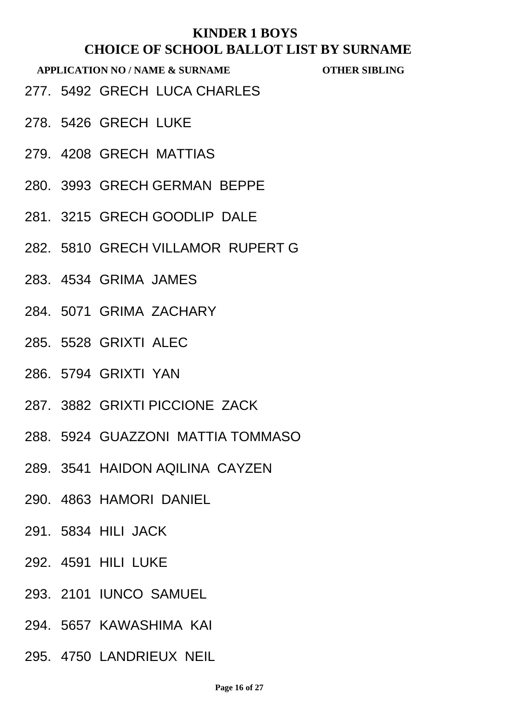- 277. 5492 GRECH LUCA CHARLES
- 278. 5426 GRECH LUKE
- 279. 4208 GRECH MATTIAS
- 280. 3993 GRECH GERMAN BEPPE
- 281. 3215 GRECH GOODLIP DALE
- 282. 5810 GRECH VILLAMOR RUPERT G
- 283. 4534 GRIMA JAMES
- 284. 5071 GRIMA ZACHARY
- 285. 5528 GRIXTI ALEC
- 286. 5794 GRIXTI YAN
- 287. 3882 GRIXTI PICCIONE ZACK
- 288. 5924 GUAZZONI MATTIA TOMMASO
- 289. 3541 HAIDON AQILINA CAYZEN
- 290. 4863 HAMORI DANIEL
- 291. 5834 HILI JACK
- 292. 4591 HILI LUKE
- 293. 2101 IUNCO SAMUEL
- 294. 5657 KAWASHIMA KAI
- 295. 4750 LANDRIEUX NEIL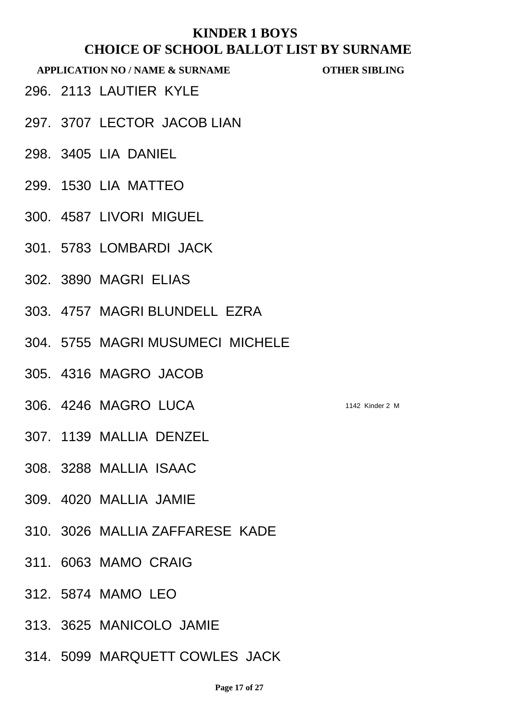- 296. 2113 LAUTIER KYLE
- 297. 3707 LECTOR JACOB LIAN
- 298. 3405 LIA DANIEL
- 299. 1530 LIA MATTEO
- 300. 4587 LIVORI MIGUEL
- 301. 5783 LOMBARDI JACK
- 302. 3890 MAGRI ELIAS
- 303. 4757 MAGRI BLUNDELL EZRA
- 304. 5755 MAGRI MUSUMECI MICHELE
- 305. 4316 MAGRO JACOB
- 306. 4246 MAGRO LUCA 1142 Kinder 2 M
- 307. 1139 MALLIA DENZEL
- 308. 3288 MALLIA ISAAC
- 309. 4020 MALLIA JAMIE
- 310. 3026 MALLIA ZAFFARESE KADE
- 311. 6063 MAMO CRAIG
- 312. 5874 MAMO LEO
- 313. 3625 MANICOLO JAMIE
- 314. 5099 MARQUETT COWLES JACK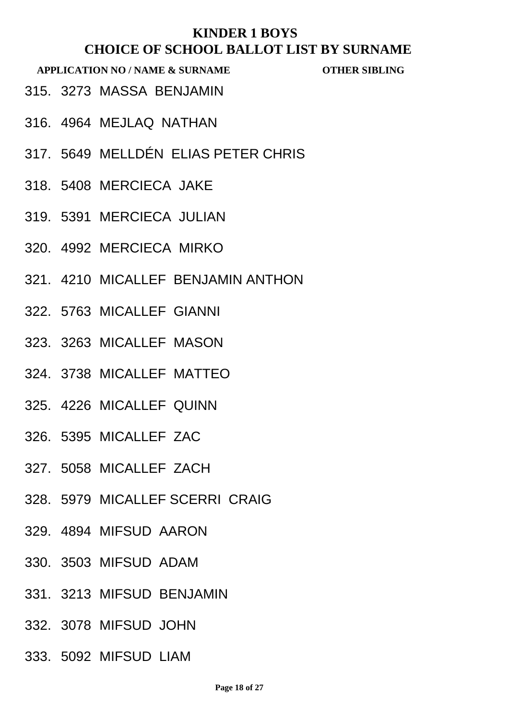- 315. 3273 MASSA BENJAMIN
- 316. 4964 MEJLAQ NATHAN
- 317. 5649 MELLDÉN ELIAS PETER CHRIS
- 318. 5408 MERCIECA JAKE
- 319. 5391 MERCIECA JULIAN
- 320. 4992 MERCIECA MIRKO
- 321. 4210 MICALLEF BENJAMIN ANTHON
- 322. 5763 MICALLEF GIANNI
- 323. 3263 MICALLEF MASON
- 324. 3738 MICALLEF MATTEO
- 325. 4226 MICALLEF QUINN
- 326. 5395 MICALLEF ZAC
- 327. 5058 MICALLEF ZACH
- 328. 5979 MICALLEF SCERRI CRAIG
- 329. 4894 MIFSUD AARON
- 330. 3503 MIFSUD ADAM
- 331. 3213 MIFSUD BENJAMIN
- 332. 3078 MIFSUD JOHN
- 333. 5092 MIFSUD LIAM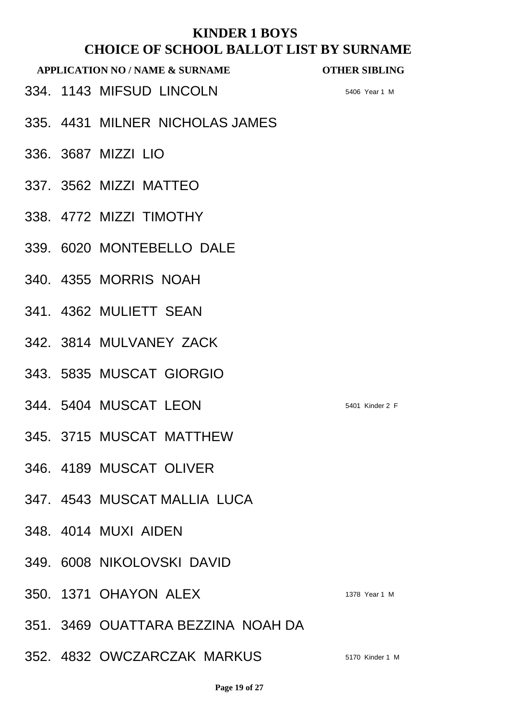## **KINDER 1 BOYS THULLOT CHOOL BALLOT LIST BY SURNAME**

|  | CHOICE OF SCHOOL BALLOT LIST BY SURNAM<br><b>APPLICATION NO / NAME &amp; SURNAME</b> | <b>OTHER SIBLING</b> |
|--|--------------------------------------------------------------------------------------|----------------------|
|  | 334. 1143 MIFSUD LINCOLN                                                             | 5406 Year 1 M        |
|  | 335. 4431 MILNER NICHOLAS JAMES                                                      |                      |
|  | 336. 3687 MIZZI LIO                                                                  |                      |
|  | 337. 3562 MIZZI MATTEO                                                               |                      |
|  | 338. 4772 MIZZI TIMOTHY                                                              |                      |
|  | 339. 6020 MONTEBELLO DALE                                                            |                      |
|  | 340. 4355 MORRIS NOAH                                                                |                      |
|  | 341, 4362 MULIETT SEAN                                                               |                      |
|  | 342. 3814 MULVANEY ZACK                                                              |                      |
|  | 343. 5835 MUSCAT GIORGIO                                                             |                      |
|  | 344. 5404 MUSCAT LEON                                                                | 5401 Kinder 2 F      |
|  | 345. 3715 MUSCAT MATTHEW                                                             |                      |
|  | 346. 4189 MUSCAT OLIVER                                                              |                      |
|  | 347. 4543 MUSCAT MALLIA LUCA                                                         |                      |
|  | 348, 4014 MUXI AIDEN                                                                 |                      |
|  | 349. 6008 NIKOLOVSKI DAVID                                                           |                      |
|  | 350. 1371 OHAYON ALEX                                                                | 1378 Year 1 M        |
|  | 351. 3469 OUATTARA BEZZINA NOAH DA                                                   |                      |
|  | 352. 4832 OWCZARCZAK MARKUS                                                          | 5170 Kinder 1 M      |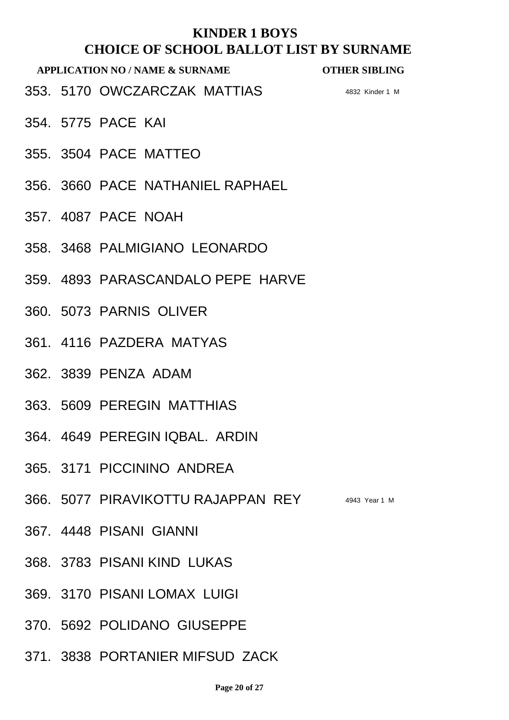#### **APPLICATION NO / NAME & SURNAME OTHER SIBLING**

353. 5170 OWCZARCZAK MATTIAS 4832 Kinder 1 M

- 354. 5775 PACE KAI
- 355. 3504 PACE MATTEO
- 356. 3660 PACE NATHANIEL RAPHAEL
- 357. 4087 PACE NOAH
- 358. 3468 PALMIGIANO LEONARDO
- 359. 4893 PARASCANDALO PEPE HARVE
- 360. 5073 PARNIS OLIVER
- 361. 4116 PAZDERA MATYAS
- 362. 3839 PENZA ADAM
- 363. 5609 PEREGIN MATTHIAS
- 364. 4649 PEREGIN IQBAL. ARDIN
- 365. 3171 PICCININO ANDREA
- 366. 5077 PIRAVIKOTTU RAJAPPAN REY 4943 Year 1 M
- 367. 4448 PISANI GIANNI
- 368. 3783 PISANI KIND LUKAS
- 369. 3170 PISANI LOMAX LUIGI
- 370. 5692 POLIDANO GIUSEPPE
- 371. 3838 PORTANIER MIFSUD ZACK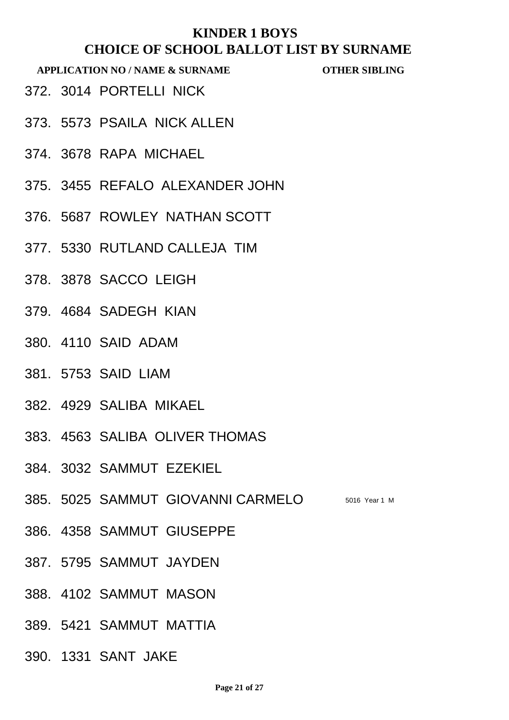- 372. 3014 PORTELLI NICK
- 373. 5573 PSAILA NICK ALLEN
- 374. 3678 RAPA MICHAEL
- 375. 3455 REFALO ALEXANDER JOHN
- 376. 5687 ROWLEY NATHAN SCOTT
- 377. 5330 RUTLAND CALLEJA TIM
- 378. 3878 SACCO LEIGH
- 379. 4684 SADEGH KIAN
- 380. 4110 SAID ADAM
- 381. 5753 SAID LIAM
- 382. 4929 SALIBA MIKAEL
- 383. 4563 SALIBA OLIVER THOMAS
- 384. 3032 SAMMUT EZEKIEL
- 385. 5025 SAMMUT GIOVANNI CARMELO 5016 Year 1 M
- 386. 4358 SAMMUT GIUSEPPE
- 387. 5795 SAMMUT JAYDEN
- 388. 4102 SAMMUT MASON
- 389. 5421 SAMMUT MATTIA
- 390. 1331 SANT JAKE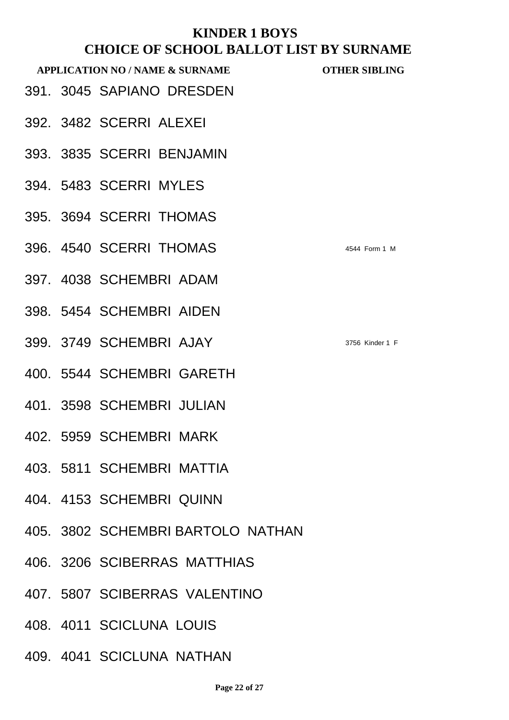| <b>APPLICATION NO / NAME &amp; SURNAME</b> | <b>OTHER SIBLING</b> |
|--------------------------------------------|----------------------|
| 391. 3045 SAPIANO DRESDEN                  |                      |
| 392. 3482 SCERRI ALEXEI                    |                      |
| 393. 3835 SCERRI BENJAMIN                  |                      |
| 394. 5483 SCERRI MYLES                     |                      |
| 395. 3694 SCERRI THOMAS                    |                      |
| 396. 4540 SCERRI THOMAS                    | 4544 Form 1 M        |
| 397. 4038 SCHEMBRI ADAM                    |                      |
| 398. 5454 SCHEMBRI AIDEN                   |                      |
| 399. 3749 SCHEMBRI AJAY                    | 3756 Kinder 1 F      |
| 400. 5544 SCHEMBRI GARETH                  |                      |
| 401. 3598 SCHEMBRI JULIAN                  |                      |
| 402. 5959 SCHEMBRI MARK                    |                      |
| 403. 5811 SCHEMBRI MATTIA                  |                      |
| 404. 4153 SCHEMBRI QUINN                   |                      |

- 405. 3802 SCHEMBRI BARTOLO NATHAN
- 406. 3206 SCIBERRAS MATTHIAS
- 407. 5807 SCIBERRAS VALENTINO
- 408. 4011 SCICLUNA LOUIS
- 409. 4041 SCICLUNA NATHAN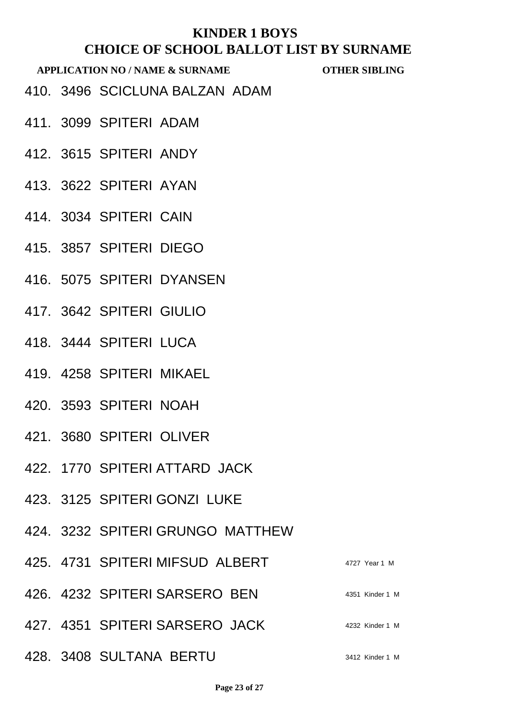- 410. 3496 SCICLUNA BALZAN ADAM
- 411. 3099 SPITERI ADAM
- 412. 3615 SPITERI ANDY
- 413. 3622 SPITERI AYAN
- 414. 3034 SPITERI CAIN
- 415. 3857 SPITERI DIEGO
- 416. 5075 SPITERI DYANSEN
- 417. 3642 SPITERI GIULIO
- 418. 3444 SPITERI LUCA
- 419. 4258 SPITERI MIKAEL
- 420. 3593 SPITERI NOAH
- 421. 3680 SPITERI OLIVER
- 422. 1770 SPITERI ATTARD JACK
- 423. 3125 SPITERI GONZI LUKE
- 424. 3232 SPITERI GRUNGO MATTHEW
- 425. 4731 SPITERI MIFSUD ALBERT 4727 Year 1 M **426. 4232 SPITERI SARSERO BEN 4351 Kinder 1 M** 427. 4351 SPITERI SARSERO JACK 4232 Kinder 1 M
- **428. 3408 SULTANA BERTU** 3412 Kinder 1 M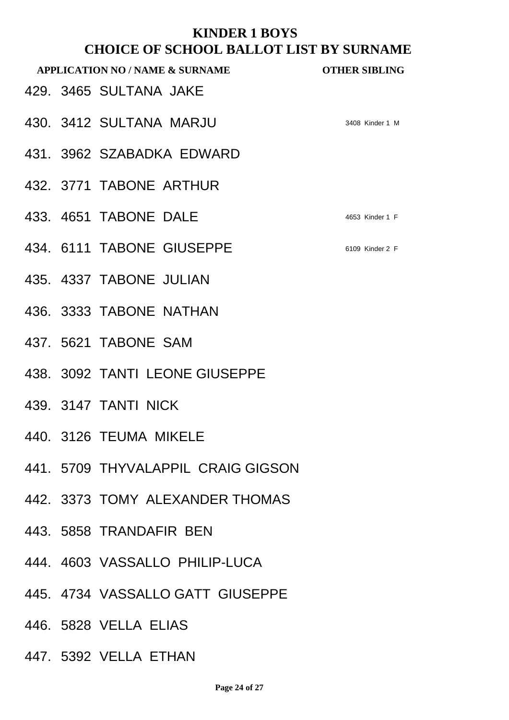|  | споод владот дрт вто<br><b>APPLICATION NO / NAME &amp; SURNAME</b> | <b>OTHER SIBLING</b> |
|--|--------------------------------------------------------------------|----------------------|
|  | 429. 3465 SULTANA JAKE                                             |                      |
|  | 430. 3412 SULTANA MARJU                                            | 3408 Kinder 1 M      |
|  | 431. 3962 SZABADKA EDWARD                                          |                      |
|  | 432. 3771 TABONE ARTHUR                                            |                      |
|  | 433. 4651 TABONE DALE                                              | 4653 Kinder 1 F      |
|  | 434. 6111 TABONE GIUSEPPE                                          | 6109 Kinder 2 F      |
|  | 435. 4337 TABONE JULIAN                                            |                      |
|  | 436. 3333 TABONE NATHAN                                            |                      |
|  | 437, 5621 TABONE SAM                                               |                      |
|  | 438. 3092 TANTI LEONE GIUSEPPE                                     |                      |
|  | 439. 3147 TANTI NICK                                               |                      |
|  | 440. 3126 TEUMA MIKELE                                             |                      |
|  | 441. 5709 THYVALAPPIL CRAIG GIGSON                                 |                      |
|  | 442. 3373 TOMY ALEXANDER THOMAS                                    |                      |
|  |                                                                    |                      |

- 443. 5858 TRANDAFIR BEN
- 444. 4603 VASSALLO PHILIP-LUCA
- 445. 4734 VASSALLO GATT GIUSEPPE
- 446. 5828 VELLA ELIAS
- 447. 5392 VELLA ETHAN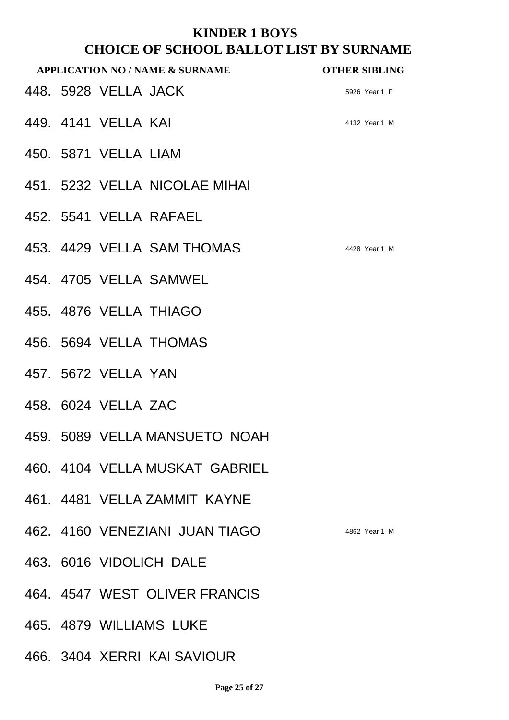|  | <b>APPLICATION NO / NAME &amp; SURNAME</b> | <b>OTHER SIBLING</b> |
|--|--------------------------------------------|----------------------|
|  | 448. 5928 VELLA JACK                       | 5926 Year 1 F        |
|  | 449. 4141 VELLA KAI                        | 4132 Year 1 M        |
|  | 450. 5871 VELLA LIAM                       |                      |
|  | 451. 5232 VELLA NICOLAE MIHAI              |                      |
|  | 452. 5541 VELLA RAFAEL                     |                      |
|  | 453. 4429 VELLA SAM THOMAS                 | 4428 Year 1 M        |
|  | 454, 4705 VELLA SAMWEL                     |                      |
|  | 455. 4876 VELLA THIAGO                     |                      |
|  | 456. 5694 VELLA THOMAS                     |                      |
|  | 457. 5672 VELLA YAN                        |                      |
|  | 458, 6024 VELLA ZAC                        |                      |
|  | 459. 5089 VELLA MANSUETO NOAH              |                      |
|  | 460. 4104 VELLA MUSKAT GABRIEL             |                      |
|  | 461. 4481 VELLA ZAMMIT KAYNE               |                      |
|  | 462. 4160 VENEZIANI JUAN TIAGO             | 4862 Year 1 M        |
|  | 463. 6016 VIDOLICH DALE                    |                      |
|  | 464. 4547 WEST OLIVER FRANCIS              |                      |

465. 4879 WILLIAMS LUKE

466. 3404 XERRI KAI SAVIOUR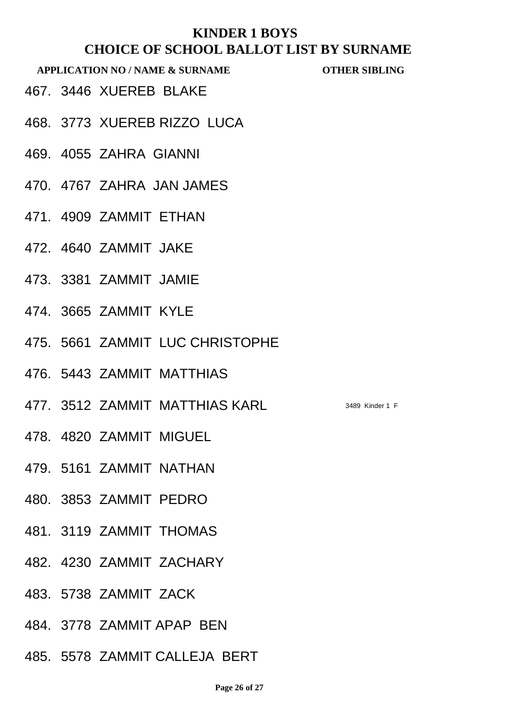**APPLICATION NO / NAME & SURNAME OTHER SIBLING**

- 467. 3446 XUEREB BLAKE
- 468. 3773 XUEREB RIZZO LUCA
- 469. 4055 ZAHRA GIANNI
- 470. 4767 ZAHRA JAN JAMES
- 471. 4909 ZAMMIT ETHAN
- 472. 4640 ZAMMIT JAKE
- 473. 3381 ZAMMIT JAMIE
- 474. 3665 ZAMMIT KYLE
- 475. 5661 ZAMMIT LUC CHRISTOPHE
- 476. 5443 ZAMMIT MATTHIAS
- 477. 3512 ZAMMIT MATTHIAS KARL 3489 Kinder 1 F
- 478. 4820 ZAMMIT MIGUEL
- 479. 5161 ZAMMIT NATHAN
- 480. 3853 ZAMMIT PEDRO
- 481. 3119 ZAMMIT THOMAS
- 482. 4230 ZAMMIT ZACHARY
- 483. 5738 ZAMMIT ZACK
- 484. 3778 ZAMMIT APAP BEN
- 485. 5578 ZAMMIT CALLEJA BERT

**Page 26 of 27**